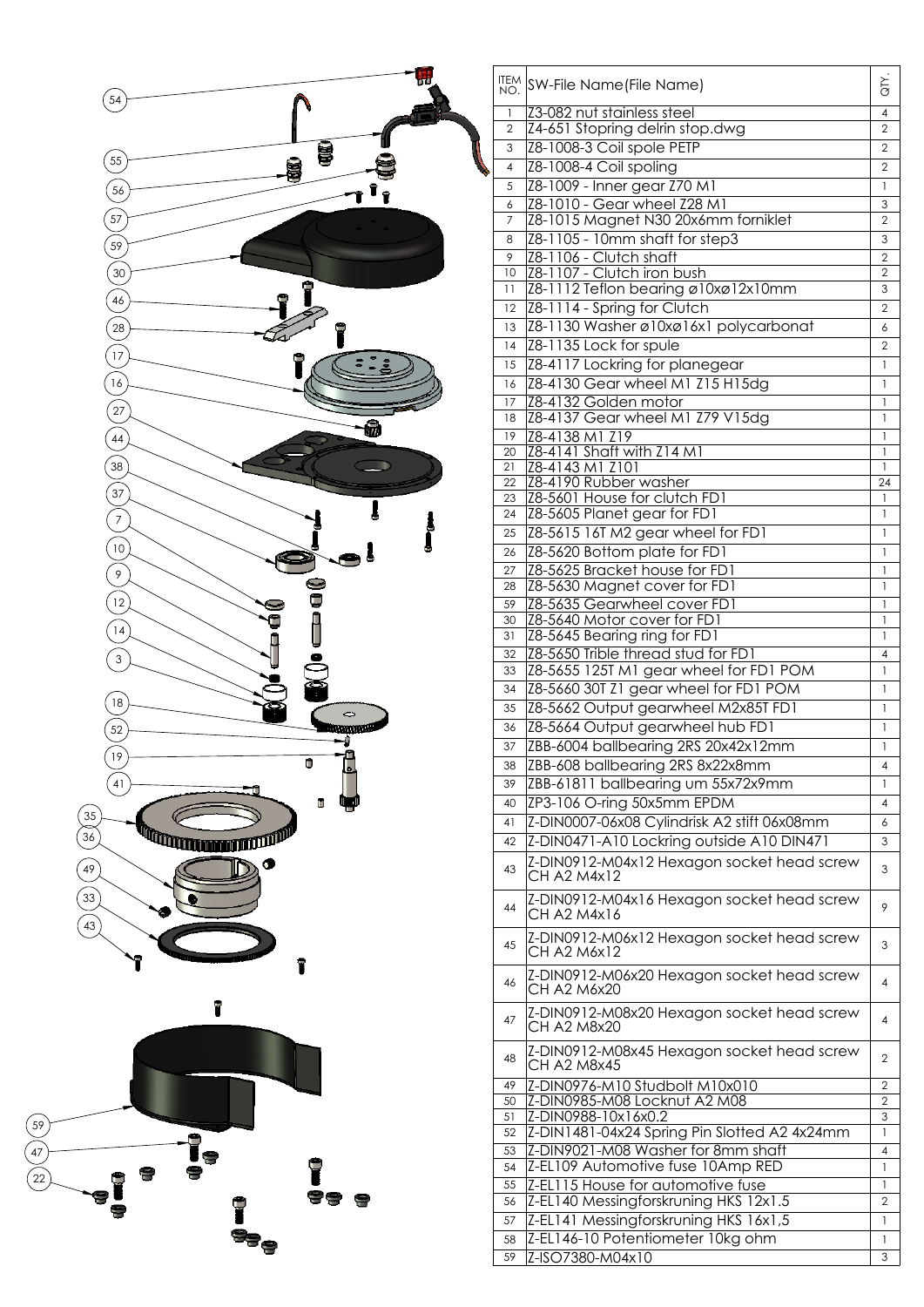

|                       | ITEM SW-File Name (File Name)                                    | <b>ND</b>         |
|-----------------------|------------------------------------------------------------------|-------------------|
| $\mathbf{1}$          | Z3-082 nut stainless steel                                       | 4                 |
| $\overline{2}$        | Z4-651 Stopring delrin stop.dwg                                  | $\overline{2}$    |
| 3                     | Z8-1008-3 Coil spole PETP                                        | $\overline{2}$    |
| 4                     | Z8-1008-4 Coil spoling                                           | $\overline{2}$    |
| 5                     | Z8-1009 - Inner gear Z70 M1                                      | $\mathbf{1}$      |
| 6                     | Z8-1010 - Gear wheel Z28 M1                                      | $\mathfrak 3$     |
| $\overline{7}$        | Z8-1015 Magnet N30 20x6mm forniklet                              | $\overline{2}$    |
| 8                     | Z8-1105 - 10mm shaft for step3                                   | 3                 |
| 9                     | Z8-1106 - Clutch shaft                                           | $\overline{2}$    |
| 10                    | Z8-1107 - Clutch iron bush                                       | $\overline{2}$    |
| 11                    | Z8-1112 Teflon bearing ø10xø12x10mm                              | 3                 |
| 12 <sup>2</sup>       | Z8-1114 - Spring for Clutch                                      | $\overline{2}$    |
| 13                    | Z8-1130 Washer ø10xø16x1 polycarbonat                            | 6                 |
| 14                    | Z8-1135 Lock for spule                                           | $\overline{2}$    |
| 15                    | Z8-4117 Lockring for planegear                                   | $\mathbf{1}$      |
| 16                    |                                                                  | 1                 |
|                       | Z8-4130 Gear wheel M1 Z15 H15dg                                  |                   |
| 17 <sup>7</sup><br>18 | Z8-4132 Golden motor<br>Z8-4137 Gear wheel M1 Z79 V15dg          | 1<br>$\mathbf{1}$ |
|                       |                                                                  |                   |
| 19<br>20              | Z8-4138 M1 Z19<br>Z8-4141 Shaft with Z14 M1                      | 1<br>1            |
| 21                    | Z8-4143 M1 Z101                                                  | $\mathbf{1}$      |
| 22                    | Z8-4190 Rubber washer                                            | 24                |
| 23                    | Z8-5601 House for clutch FD1                                     | 1                 |
| 24                    | Z8-5605 Planet gear for FD1                                      | 1                 |
| 25                    | Z8-5615 16T M2 gear wheel for FD1                                | 1                 |
| 26                    | Z8-5620 Bottom plate for FD1                                     | $\mathbf{1}$      |
| 27                    | Z8-5625 Bracket house for FD1                                    | 1                 |
| 28                    | Z8-5630 Magnet cover for FD1                                     | 1                 |
| 59                    | Z8-5635 Gearwheel cover FD1                                      | 1                 |
| 30                    | Z8-5640 Motor cover for FD1                                      | 1                 |
| 31                    | Z8-5645 Bearing ring for FD1                                     | 1                 |
| 32                    | Z8-5650 Trible thread stud for FD1                               | 4                 |
| 33                    | Z8-5655 125T M1 gear wheel for FD1 POM                           | 1                 |
| 34                    | Z8-5660 30T Z1 gear wheel for FD1 POM                            | 1                 |
| 35                    | Z8-5662 Output gearwheel M2x85T FD1                              | 1                 |
| 36                    | Z8-5664 Output gearwheel hub FD1                                 | 1                 |
| 37                    |                                                                  | $\mathbf{1}$      |
|                       | ZBB-6004 ballbearing 2RS 20x42x12mm                              |                   |
| 38                    | ZBB-608 ballbearing 2RS 8x22x8mm                                 | 4                 |
| 39                    | ZBB-61811 ballbearing um 55x72x9mm                               | 1                 |
| 40                    | ZP3-106 O-ring 50x5mm EPDM                                       | 4                 |
| 41                    | Z-DIN0007-06x08 Cylindrisk A2 stift 06x08mm                      | 6                 |
| 42                    | Z-DIN0471-A10 Lockring outside A10 DIN471                        | 3                 |
|                       | Z-DIN0912-M04x12 Hexagon socket head screw                       |                   |
| 43                    | <b>CH A2 M4x12</b>                                               | 3                 |
|                       | Z-DIN0912-M04x16 Hexagon socket head screw                       |                   |
| 44                    | CH A2 M4x16                                                      | 9                 |
|                       | Z-DIN0912-M06x12 Hexagon socket head screw                       |                   |
| 45                    | CH A2 M6x12                                                      | 3                 |
|                       |                                                                  |                   |
| 46                    | Z-DIN0912-M06x20 Hexagon socket head screw<br><b>CH A2 M6x20</b> | 4                 |
|                       |                                                                  |                   |
| 47                    | Z-DIN0912-M08x20 Hexagon socket head screw                       | 4                 |
|                       | CH A2 M8x20                                                      |                   |
| 48                    | Z-DIN0912-M08x45 Hexagon socket head screw                       | $\overline{2}$    |
|                       | CH A2 M8x45                                                      |                   |
| 49                    | Z-DIN0976-M10 Studbolt M10x010                                   | $\overline{2}$    |
| 50                    | Z-DIN0985-M08 Locknut A2 M08                                     | $\overline{2}$    |
| 51                    | Z-DIN0988-10x16x0.2                                              | 3                 |
| 52                    | Z-DIN1481-04x24 Spring Pin Slotted A2 4x24mm                     | $\mathbf{1}$      |
| 53                    | Z-DIN9021-M08 Washer for 8mm shaft                               | $\overline{4}$    |
| 54                    | Z-EL109 Automotive fuse 10Amp RED                                | 1                 |
| 55                    | Z-EL115 House for automotive fuse                                | 1                 |
| 56                    | Z-EL140 Messingforskruning HKS 12x1.5                            | $\overline{2}$    |
| 57                    | Z-EL141 Messingforskruning HKS 16x1,5                            | 1                 |
| 58                    | Z-EL146-10 Potentiometer 10kg ohm                                | 1                 |
| 59                    | Z-ISO7380-M04x10                                                 | 3                 |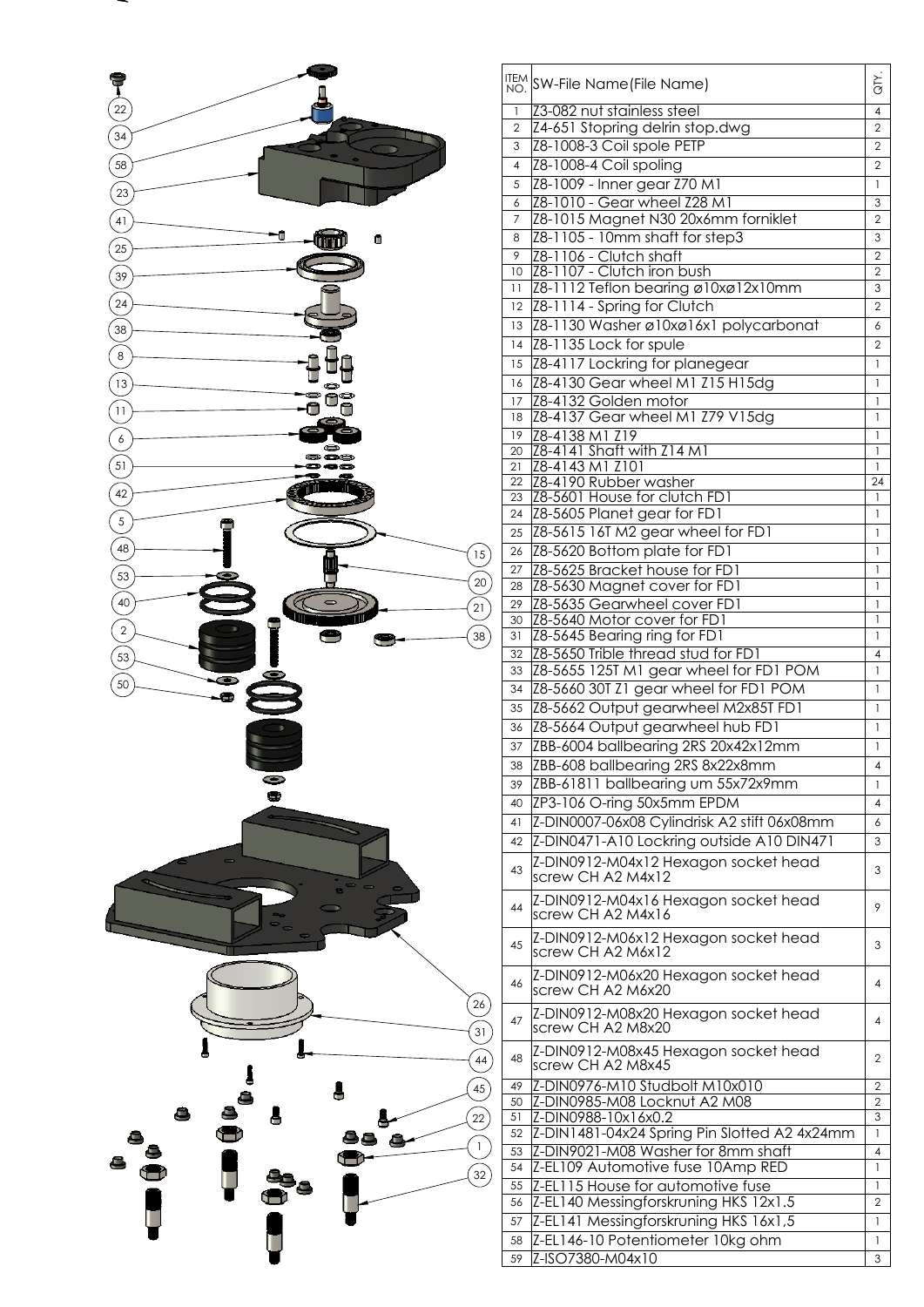

|                | ITEM SW-File Name (File Name)                                 | $\overline{G}$     |
|----------------|---------------------------------------------------------------|--------------------|
| $\mathbf{1}$   | Z3-082 nut stainless steel                                    | $\overline{4}$     |
| $\overline{2}$ | Z4-651 Stopring delrin stop.dwg                               | $\overline{2}$     |
| 3              | Z8-1008-3 Coil spole PETP                                     | $\overline{2}$     |
| $\overline{4}$ | Z8-1008-4 Coil spoling                                        | $\overline{2}$     |
| 5              | Z8-1009 - Inner gear Z70 M1                                   | $\mathbf{1}$       |
| 6              | Z8-1010 - Gear wheel Z28 M1                                   | 3                  |
| $\overline{7}$ | Z8-1015 Magnet N30 20x6mm forniklet                           | $\overline{2}$     |
| 8              | Z8-1105 - 10mm shaft for step3                                | 3                  |
| 9              | Z8-1106 - Clutch shaft                                        | $\overline{2}$     |
| 10             | Z8-1107 - Clutch iron bush                                    | $\overline{2}$     |
| 11             | Z8-1112 Teflon bearing ø10xø12x10mm                           | 3                  |
| 12             | Z8-1114 - Spring for Clutch                                   | $\overline{2}$     |
| 13             | Z8-1130 Washer ø10xø16x1 polycarbonat                         | 6                  |
| 14             | Z8-1135 Lock for spule                                        | $\overline{2}$     |
| 15             | Z8-4117 Lockring for planegear                                | $\mathbf{1}$       |
| 16             | Z8-4130 Gear wheel M1 Z15 H15dg                               | $\mathbf{1}$       |
| 17             | Z8-4132 Golden motor                                          | $\mathbf{1}$       |
| 18             | Z8-4137 Gear wheel M1 Z79 V15dg                               | $\mathbf{1}$       |
| 19             | Z8-4138 M1 Z19                                                | $\mathbf{1}$       |
| 20             | Z8-4141 Shaft with Z14 M1                                     | $\mathbf{I}$       |
| 21             | Z8-4143 M1 Z101                                               | $\mathbf{1}$       |
| 22<br>23       | Z8-4190 Rubber washer<br><b>Z8-5601 House for clutch FD1</b>  | 24<br>$\mathbf{1}$ |
| 24             | Z8-5605 Planet gear for FD1                                   | $\mathbf{1}$       |
| 25             | Z8-5615 16T M2 gear wheel for FD1                             | 1                  |
| 26             | Z8-5620 Bottom plate for FD1                                  | $\mathbf{I}$       |
| 27             |                                                               | 1                  |
| 28             | Z8-5625 Bracket house for FD1<br>Z8-5630 Magnet cover for FD1 | 1                  |
| 29             | Z8-5635 Gearwheel cover FD1                                   | 1                  |
| 30             | Z8-5640 Motor cover for FD1                                   | 1                  |
| 31             | Z8-5645 Bearing ring for FD1                                  | $\mathbf{1}$       |
| 32             | Z8-5650 Trible thread stud for FD1                            | 4                  |
| 33             | Z8-5655 125T M1 gear wheel for FD1 POM                        | 1                  |
| 34             | Z8-5660 30T Z1 gear wheel for FD1 POM                         | 1                  |
| 35             | Z8-5662 Output gearwheel M2x85T FD1                           | $\mathbf{1}$       |
| 36             | Z8-5664 Output gearwheel hub FD1                              | $\mathbf{1}$       |
| 37             | ZBB-6004 ballbearing 2RS 20x42x12mm                           | 1                  |
| 38             | ZBB-608 ballbearing 2RS 8x22x8mm                              | 4                  |
| 39             | ZBB-61811 ballbearing um 55x72x9mm                            | $\mathbf{1}$       |
| 40             | ZP3-106 O-ring 50x5mm EPDM                                    | 4                  |
| 41             | Z-DIN0007-06x08 Cylindrisk A2 stift 06x08mm                   | 6                  |
| 42             | Z-DIN0471-A10 Lockring outside A10 DIN471                     | 3                  |
|                |                                                               |                    |
| 43             | Z-DIN0912-M04x12 Hexagon socket head<br>screw CH A2 M4x12     | 3                  |
| 44             | Z-DIN0912-M04x16 Hexagon socket head<br>screw CH A2 M4x16     | 9                  |
| 45             | Z-DIN0912-M06x12 Hexagon socket head<br>screw CH A2 M6x12     | 3                  |
| 46             | Z-DIN0912-M06x20 Hexagon socket head<br>screw CH A2 M6x20     | 4                  |